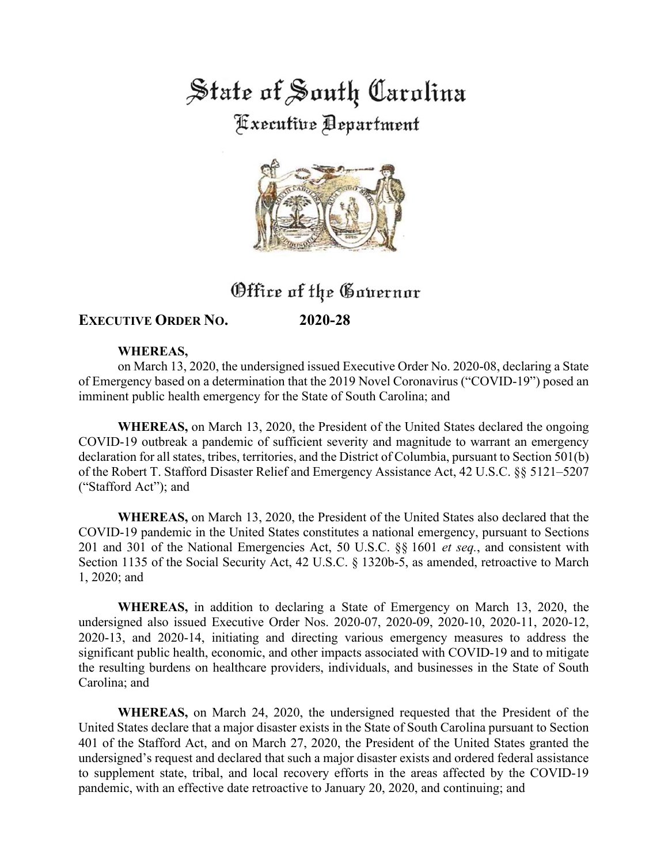State of South Carolina **Fixecutive Department** 



# Office of the Governor

## **EXECUTIVE ORDER NO. 2020-28**

#### **WHEREAS,**

on March 13, 2020, the undersigned issued Executive Order No. 2020-08, declaring a State of Emergency based on a determination that the 2019 Novel Coronavirus ("COVID-19") posed an imminent public health emergency for the State of South Carolina; and

**WHEREAS,** on March 13, 2020, the President of the United States declared the ongoing COVID-19 outbreak a pandemic of sufficient severity and magnitude to warrant an emergency declaration for all states, tribes, territories, and the District of Columbia, pursuant to Section 501(b) of the Robert T. Stafford Disaster Relief and Emergency Assistance Act, 42 U.S.C. §§ 5121–5207 ("Stafford Act"); and

**WHEREAS,** on March 13, 2020, the President of the United States also declared that the COVID-19 pandemic in the United States constitutes a national emergency, pursuant to Sections 201 and 301 of the National Emergencies Act, 50 U.S.C. §§ 1601 *et seq.*, and consistent with Section 1135 of the Social Security Act, 42 U.S.C. § 1320b-5, as amended, retroactive to March 1, 2020; and

**WHEREAS,** in addition to declaring a State of Emergency on March 13, 2020, the undersigned also issued Executive Order Nos. 2020-07, 2020-09, 2020-10, 2020-11, 2020-12, 2020-13, and 2020-14, initiating and directing various emergency measures to address the significant public health, economic, and other impacts associated with COVID-19 and to mitigate the resulting burdens on healthcare providers, individuals, and businesses in the State of South Carolina; and

**WHEREAS,** on March 24, 2020, the undersigned requested that the President of the United States declare that a major disaster exists in the State of South Carolina pursuant to Section 401 of the Stafford Act, and on March 27, 2020, the President of the United States granted the undersigned's request and declared that such a major disaster exists and ordered federal assistance to supplement state, tribal, and local recovery efforts in the areas affected by the COVID-19 pandemic, with an effective date retroactive to January 20, 2020, and continuing; and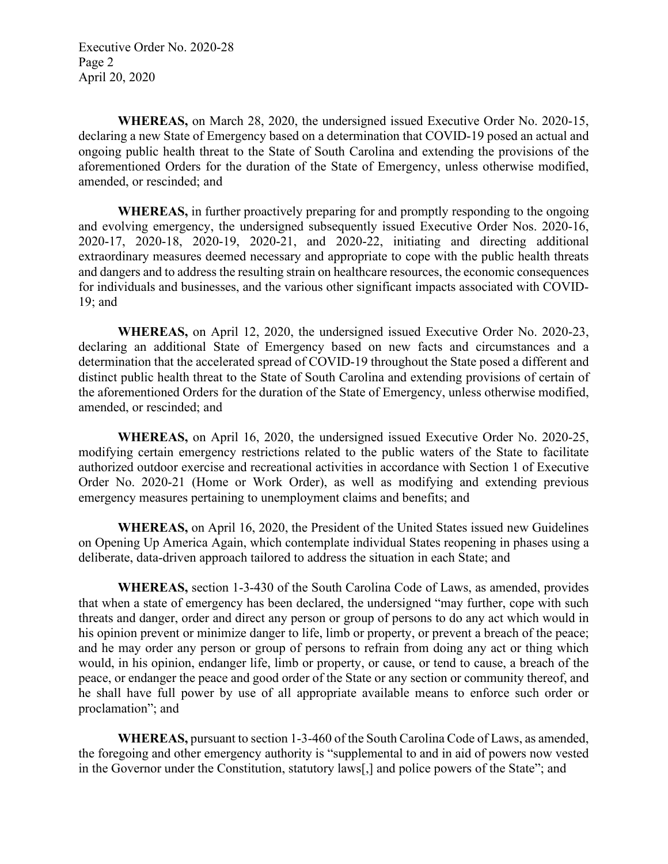Executive Order No. 2020-28 Page 2 April 20, 2020

**WHEREAS,** on March 28, 2020, the undersigned issued Executive Order No. 2020-15, declaring a new State of Emergency based on a determination that COVID-19 posed an actual and ongoing public health threat to the State of South Carolina and extending the provisions of the aforementioned Orders for the duration of the State of Emergency, unless otherwise modified, amended, or rescinded; and

**WHEREAS,** in further proactively preparing for and promptly responding to the ongoing and evolving emergency, the undersigned subsequently issued Executive Order Nos. 2020-16, 2020-17, 2020-18, 2020-19, 2020-21, and 2020-22, initiating and directing additional extraordinary measures deemed necessary and appropriate to cope with the public health threats and dangers and to address the resulting strain on healthcare resources, the economic consequences for individuals and businesses, and the various other significant impacts associated with COVID-19; and

**WHEREAS,** on April 12, 2020, the undersigned issued Executive Order No. 2020-23, declaring an additional State of Emergency based on new facts and circumstances and a determination that the accelerated spread of COVID-19 throughout the State posed a different and distinct public health threat to the State of South Carolina and extending provisions of certain of the aforementioned Orders for the duration of the State of Emergency, unless otherwise modified, amended, or rescinded; and

**WHEREAS,** on April 16, 2020, the undersigned issued Executive Order No. 2020-25, modifying certain emergency restrictions related to the public waters of the State to facilitate authorized outdoor exercise and recreational activities in accordance with Section 1 of Executive Order No. 2020-21 (Home or Work Order), as well as modifying and extending previous emergency measures pertaining to unemployment claims and benefits; and

**WHEREAS,** on April 16, 2020, the President of the United States issued new Guidelines on Opening Up America Again, which contemplate individual States reopening in phases using a deliberate, data-driven approach tailored to address the situation in each State; and

**WHEREAS,** section 1-3-430 of the South Carolina Code of Laws, as amended, provides that when a state of emergency has been declared, the undersigned "may further, cope with such threats and danger, order and direct any person or group of persons to do any act which would in his opinion prevent or minimize danger to life, limb or property, or prevent a breach of the peace; and he may order any person or group of persons to refrain from doing any act or thing which would, in his opinion, endanger life, limb or property, or cause, or tend to cause, a breach of the peace, or endanger the peace and good order of the State or any section or community thereof, and he shall have full power by use of all appropriate available means to enforce such order or proclamation"; and

**WHEREAS,** pursuant to section 1-3-460 of the South Carolina Code of Laws, as amended, the foregoing and other emergency authority is "supplemental to and in aid of powers now vested in the Governor under the Constitution, statutory laws[,] and police powers of the State"; and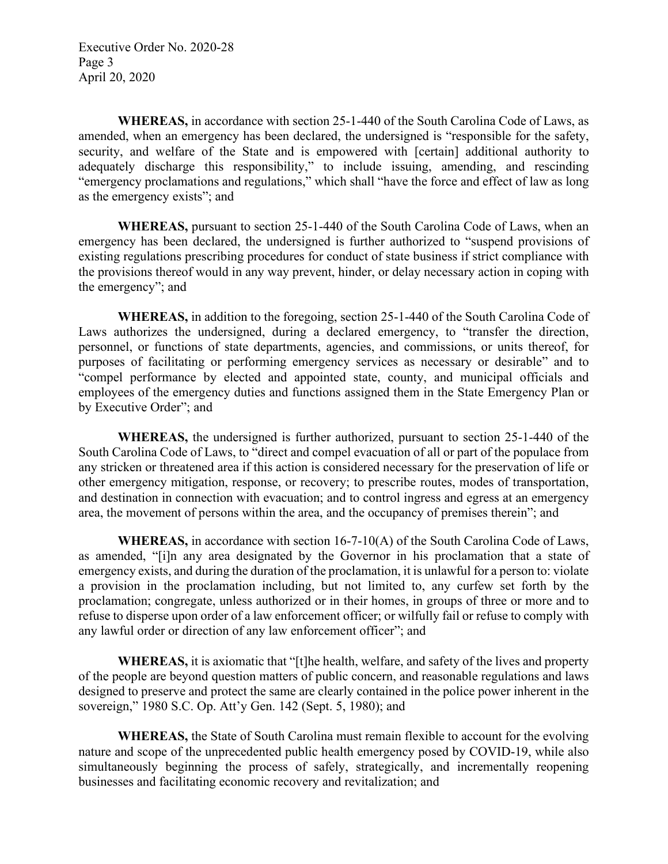Executive Order No. 2020-28 Page 3 April 20, 2020

**WHEREAS,** in accordance with section 25-1-440 of the South Carolina Code of Laws, as amended, when an emergency has been declared, the undersigned is "responsible for the safety, security, and welfare of the State and is empowered with [certain] additional authority to adequately discharge this responsibility," to include issuing, amending, and rescinding "emergency proclamations and regulations," which shall "have the force and effect of law as long as the emergency exists"; and

**WHEREAS,** pursuant to section 25-1-440 of the South Carolina Code of Laws, when an emergency has been declared, the undersigned is further authorized to "suspend provisions of existing regulations prescribing procedures for conduct of state business if strict compliance with the provisions thereof would in any way prevent, hinder, or delay necessary action in coping with the emergency"; and

**WHEREAS,** in addition to the foregoing, section 25-1-440 of the South Carolina Code of Laws authorizes the undersigned, during a declared emergency, to "transfer the direction, personnel, or functions of state departments, agencies, and commissions, or units thereof, for purposes of facilitating or performing emergency services as necessary or desirable" and to "compel performance by elected and appointed state, county, and municipal officials and employees of the emergency duties and functions assigned them in the State Emergency Plan or by Executive Order"; and

**WHEREAS,** the undersigned is further authorized, pursuant to section 25-1-440 of the South Carolina Code of Laws, to "direct and compel evacuation of all or part of the populace from any stricken or threatened area if this action is considered necessary for the preservation of life or other emergency mitigation, response, or recovery; to prescribe routes, modes of transportation, and destination in connection with evacuation; and to control ingress and egress at an emergency area, the movement of persons within the area, and the occupancy of premises therein"; and

**WHEREAS,** in accordance with section 16-7-10(A) of the South Carolina Code of Laws, as amended, "[i]n any area designated by the Governor in his proclamation that a state of emergency exists, and during the duration of the proclamation, it is unlawful for a person to: violate a provision in the proclamation including, but not limited to, any curfew set forth by the proclamation; congregate, unless authorized or in their homes, in groups of three or more and to refuse to disperse upon order of a law enforcement officer; or wilfully fail or refuse to comply with any lawful order or direction of any law enforcement officer"; and

**WHEREAS,** it is axiomatic that "[t]he health, welfare, and safety of the lives and property of the people are beyond question matters of public concern, and reasonable regulations and laws designed to preserve and protect the same are clearly contained in the police power inherent in the sovereign," 1980 S.C. Op. Att'y Gen. 142 (Sept. 5, 1980); and

**WHEREAS,** the State of South Carolina must remain flexible to account for the evolving nature and scope of the unprecedented public health emergency posed by COVID-19, while also simultaneously beginning the process of safely, strategically, and incrementally reopening businesses and facilitating economic recovery and revitalization; and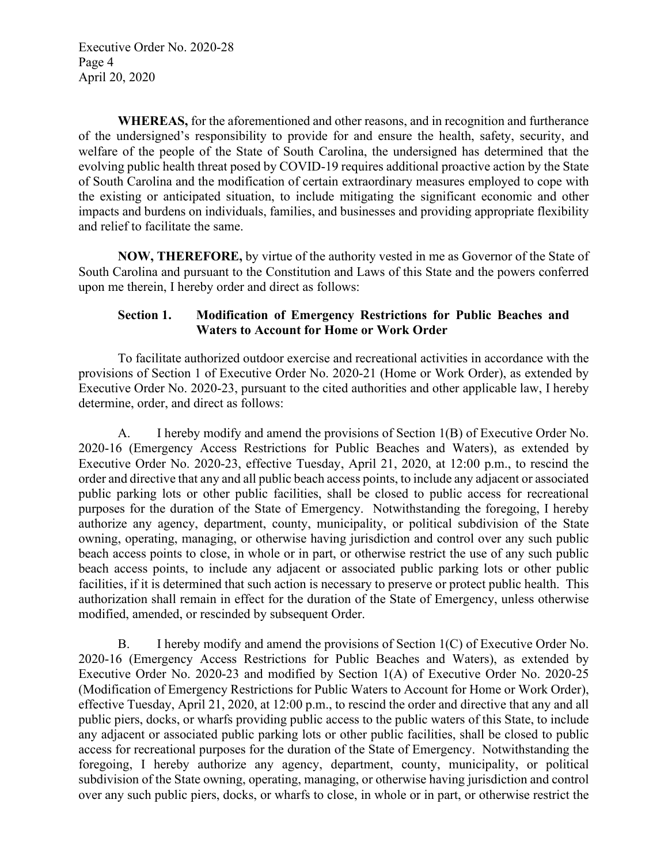Executive Order No. 2020-28 Page 4 April 20, 2020

**WHEREAS,** for the aforementioned and other reasons, and in recognition and furtherance of the undersigned's responsibility to provide for and ensure the health, safety, security, and welfare of the people of the State of South Carolina, the undersigned has determined that the evolving public health threat posed by COVID-19 requires additional proactive action by the State of South Carolina and the modification of certain extraordinary measures employed to cope with the existing or anticipated situation, to include mitigating the significant economic and other impacts and burdens on individuals, families, and businesses and providing appropriate flexibility and relief to facilitate the same.

**NOW, THEREFORE,** by virtue of the authority vested in me as Governor of the State of South Carolina and pursuant to the Constitution and Laws of this State and the powers conferred upon me therein, I hereby order and direct as follows:

#### **Section 1. Modification of Emergency Restrictions for Public Beaches and Waters to Account for Home or Work Order**

To facilitate authorized outdoor exercise and recreational activities in accordance with the provisions of Section 1 of Executive Order No. 2020-21 (Home or Work Order), as extended by Executive Order No. 2020-23, pursuant to the cited authorities and other applicable law, I hereby determine, order, and direct as follows:

A. I hereby modify and amend the provisions of Section 1(B) of Executive Order No. 2020-16 (Emergency Access Restrictions for Public Beaches and Waters), as extended by Executive Order No. 2020-23, effective Tuesday, April 21, 2020, at 12:00 p.m., to rescind the order and directive that any and all public beach access points, to include any adjacent or associated public parking lots or other public facilities, shall be closed to public access for recreational purposes for the duration of the State of Emergency. Notwithstanding the foregoing, I hereby authorize any agency, department, county, municipality, or political subdivision of the State owning, operating, managing, or otherwise having jurisdiction and control over any such public beach access points to close, in whole or in part, or otherwise restrict the use of any such public beach access points, to include any adjacent or associated public parking lots or other public facilities, if it is determined that such action is necessary to preserve or protect public health. This authorization shall remain in effect for the duration of the State of Emergency, unless otherwise modified, amended, or rescinded by subsequent Order.

B. I hereby modify and amend the provisions of Section 1(C) of Executive Order No. 2020-16 (Emergency Access Restrictions for Public Beaches and Waters), as extended by Executive Order No. 2020-23 and modified by Section 1(A) of Executive Order No. 2020-25 (Modification of Emergency Restrictions for Public Waters to Account for Home or Work Order), effective Tuesday, April 21, 2020, at 12:00 p.m., to rescind the order and directive that any and all public piers, docks, or wharfs providing public access to the public waters of this State, to include any adjacent or associated public parking lots or other public facilities, shall be closed to public access for recreational purposes for the duration of the State of Emergency. Notwithstanding the foregoing, I hereby authorize any agency, department, county, municipality, or political subdivision of the State owning, operating, managing, or otherwise having jurisdiction and control over any such public piers, docks, or wharfs to close, in whole or in part, or otherwise restrict the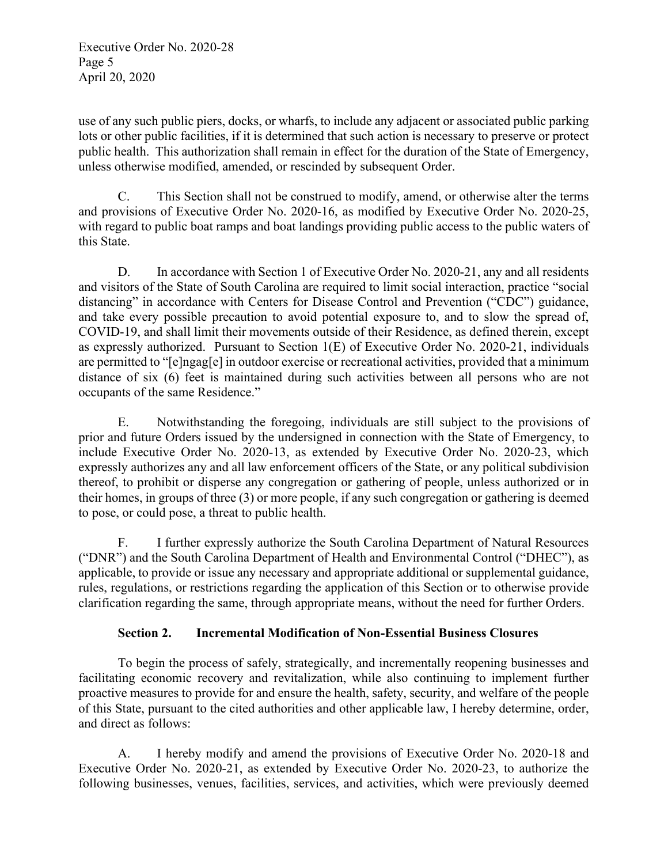use of any such public piers, docks, or wharfs, to include any adjacent or associated public parking lots or other public facilities, if it is determined that such action is necessary to preserve or protect public health. This authorization shall remain in effect for the duration of the State of Emergency, unless otherwise modified, amended, or rescinded by subsequent Order.

C. This Section shall not be construed to modify, amend, or otherwise alter the terms and provisions of Executive Order No. 2020-16, as modified by Executive Order No. 2020-25, with regard to public boat ramps and boat landings providing public access to the public waters of this State.

D. In accordance with Section 1 of Executive Order No. 2020-21, any and all residents and visitors of the State of South Carolina are required to limit social interaction, practice "social distancing" in accordance with Centers for Disease Control and Prevention ("CDC") guidance, and take every possible precaution to avoid potential exposure to, and to slow the spread of, COVID-19, and shall limit their movements outside of their Residence, as defined therein, except as expressly authorized. Pursuant to Section 1(E) of Executive Order No. 2020-21, individuals are permitted to "[e]ngag[e] in outdoor exercise or recreational activities, provided that a minimum distance of six (6) feet is maintained during such activities between all persons who are not occupants of the same Residence."

E. Notwithstanding the foregoing, individuals are still subject to the provisions of prior and future Orders issued by the undersigned in connection with the State of Emergency, to include Executive Order No. 2020-13, as extended by Executive Order No. 2020-23, which expressly authorizes any and all law enforcement officers of the State, or any political subdivision thereof, to prohibit or disperse any congregation or gathering of people, unless authorized or in their homes, in groups of three (3) or more people, if any such congregation or gathering is deemed to pose, or could pose, a threat to public health.

F. I further expressly authorize the South Carolina Department of Natural Resources ("DNR") and the South Carolina Department of Health and Environmental Control ("DHEC"), as applicable, to provide or issue any necessary and appropriate additional or supplemental guidance, rules, regulations, or restrictions regarding the application of this Section or to otherwise provide clarification regarding the same, through appropriate means, without the need for further Orders.

## **Section 2. Incremental Modification of Non-Essential Business Closures**

To begin the process of safely, strategically, and incrementally reopening businesses and facilitating economic recovery and revitalization, while also continuing to implement further proactive measures to provide for and ensure the health, safety, security, and welfare of the people of this State, pursuant to the cited authorities and other applicable law, I hereby determine, order, and direct as follows:

A. I hereby modify and amend the provisions of Executive Order No. 2020-18 and Executive Order No. 2020-21, as extended by Executive Order No. 2020-23, to authorize the following businesses, venues, facilities, services, and activities, which were previously deemed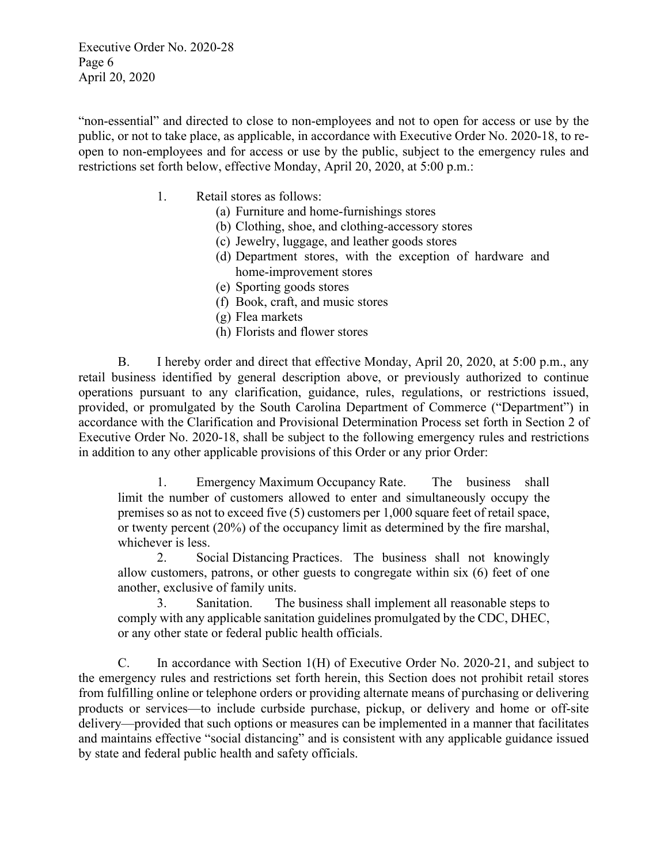Executive Order No. 2020-28 Page 6 April 20, 2020

"non-essential" and directed to close to non-employees and not to open for access or use by the public, or not to take place, as applicable, in accordance with Executive Order No. 2020-18, to reopen to non-employees and for access or use by the public, subject to the emergency rules and restrictions set forth below, effective Monday, April 20, 2020, at 5:00 p.m.:

- 1. Retail stores as follows:
	- (a) Furniture and home-furnishings stores
	- (b) Clothing, shoe, and clothing-accessory stores
	- (c) Jewelry, luggage, and leather goods stores
	- (d) Department stores, with the exception of hardware and home-improvement stores
	- (e) Sporting goods stores
	- (f) Book, craft, and music stores
	- (g) Flea markets
	- (h) Florists and flower stores

B. I hereby order and direct that effective Monday, April 20, 2020, at 5:00 p.m., any retail business identified by general description above, or previously authorized to continue operations pursuant to any clarification, guidance, rules, regulations, or restrictions issued, provided, or promulgated by the South Carolina Department of Commerce ("Department") in accordance with the Clarification and Provisional Determination Process set forth in Section 2 of Executive Order No. 2020-18, shall be subject to the following emergency rules and restrictions in addition to any other applicable provisions of this Order or any prior Order:

1. Emergency Maximum Occupancy Rate. The business shall limit the number of customers allowed to enter and simultaneously occupy the premises so as not to exceed five (5) customers per 1,000 square feet of retail space, or twenty percent (20%) of the occupancy limit as determined by the fire marshal, whichever is less.

2. Social Distancing Practices. The business shall not knowingly allow customers, patrons, or other guests to congregate within six (6) feet of one another, exclusive of family units.

3. Sanitation. The business shall implement all reasonable steps to comply with any applicable sanitation guidelines promulgated by the CDC, DHEC, or any other state or federal public health officials.

C. In accordance with Section 1(H) of Executive Order No. 2020-21, and subject to the emergency rules and restrictions set forth herein, this Section does not prohibit retail stores from fulfilling online or telephone orders or providing alternate means of purchasing or delivering products or services—to include curbside purchase, pickup, or delivery and home or off-site delivery—provided that such options or measures can be implemented in a manner that facilitates and maintains effective "social distancing" and is consistent with any applicable guidance issued by state and federal public health and safety officials.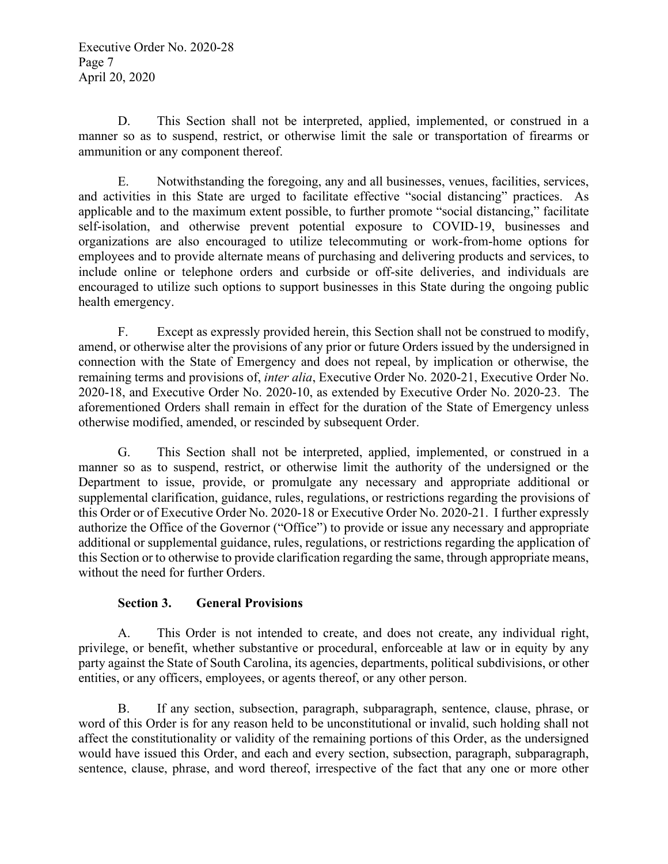D. This Section shall not be interpreted, applied, implemented, or construed in a manner so as to suspend, restrict, or otherwise limit the sale or transportation of firearms or ammunition or any component thereof.

E. Notwithstanding the foregoing, any and all businesses, venues, facilities, services, and activities in this State are urged to facilitate effective "social distancing" practices. As applicable and to the maximum extent possible, to further promote "social distancing," facilitate self-isolation, and otherwise prevent potential exposure to COVID-19, businesses and organizations are also encouraged to utilize telecommuting or work-from-home options for employees and to provide alternate means of purchasing and delivering products and services, to include online or telephone orders and curbside or off-site deliveries, and individuals are encouraged to utilize such options to support businesses in this State during the ongoing public health emergency.

F. Except as expressly provided herein, this Section shall not be construed to modify, amend, or otherwise alter the provisions of any prior or future Orders issued by the undersigned in connection with the State of Emergency and does not repeal, by implication or otherwise, the remaining terms and provisions of, *inter alia*, Executive Order No. 2020-21, Executive Order No. 2020-18, and Executive Order No. 2020-10, as extended by Executive Order No. 2020-23. The aforementioned Orders shall remain in effect for the duration of the State of Emergency unless otherwise modified, amended, or rescinded by subsequent Order.

G. This Section shall not be interpreted, applied, implemented, or construed in a manner so as to suspend, restrict, or otherwise limit the authority of the undersigned or the Department to issue, provide, or promulgate any necessary and appropriate additional or supplemental clarification, guidance, rules, regulations, or restrictions regarding the provisions of this Order or of Executive Order No. 2020-18 or Executive Order No. 2020-21. I further expressly authorize the Office of the Governor ("Office") to provide or issue any necessary and appropriate additional or supplemental guidance, rules, regulations, or restrictions regarding the application of this Section or to otherwise to provide clarification regarding the same, through appropriate means, without the need for further Orders.

### **Section 3. General Provisions**

A. This Order is not intended to create, and does not create, any individual right, privilege, or benefit, whether substantive or procedural, enforceable at law or in equity by any party against the State of South Carolina, its agencies, departments, political subdivisions, or other entities, or any officers, employees, or agents thereof, or any other person.

B. If any section, subsection, paragraph, subparagraph, sentence, clause, phrase, or word of this Order is for any reason held to be unconstitutional or invalid, such holding shall not affect the constitutionality or validity of the remaining portions of this Order, as the undersigned would have issued this Order, and each and every section, subsection, paragraph, subparagraph, sentence, clause, phrase, and word thereof, irrespective of the fact that any one or more other